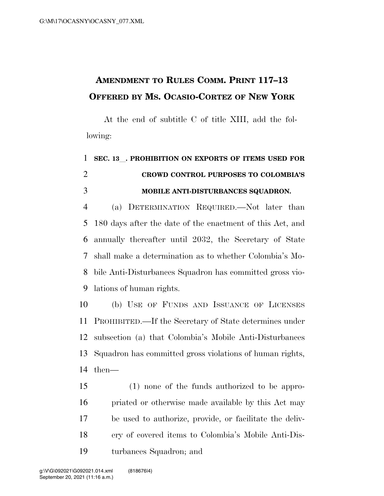## **AMENDMENT TO RULES COMM. PRINT 117–13 OFFERED BY MS. OCASIO-CORTEZ OF NEW YORK**

At the end of subtitle C of title XIII, add the following:

## **SEC. 13**l**. PROHIBITION ON EXPORTS OF ITEMS USED FOR CROWD CONTROL PURPOSES TO COLOMBIA'S MOBILE ANTI-DISTURBANCES SQUADRON.**

 (a) DETERMINATION REQUIRED.—Not later than 180 days after the date of the enactment of this Act, and annually thereafter until 2032, the Secretary of State shall make a determination as to whether Colombia's Mo- bile Anti-Disturbances Squadron has committed gross vio-lations of human rights.

 (b) USE OF FUNDS AND ISSUANCE OF LICENSES PROHIBITED.—If the Secretary of State determines under subsection (a) that Colombia's Mobile Anti-Disturbances Squadron has committed gross violations of human rights, then—

 (1) none of the funds authorized to be appro- priated or otherwise made available by this Act may be used to authorize, provide, or facilitate the deliv- ery of covered items to Colombia's Mobile Anti-Dis-turbances Squadron; and